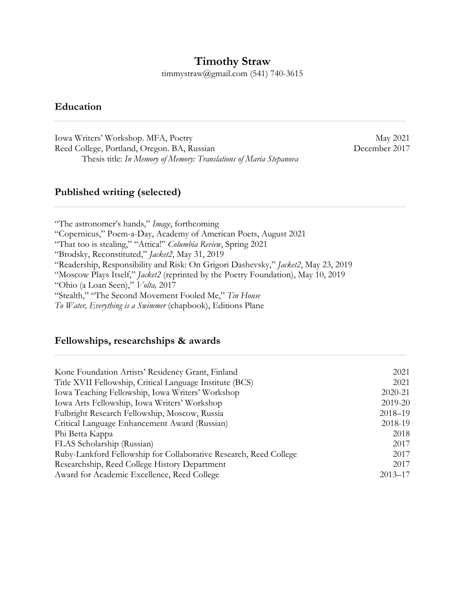## **Timothy Straw**

timmystraw@gmail.com (541) 740-3615

 $\mathcal{L}_\text{max}$  and  $\mathcal{L}_\text{max}$  and  $\mathcal{L}_\text{max}$  and  $\mathcal{L}_\text{max}$  and  $\mathcal{L}_\text{max}$  and  $\mathcal{L}_\text{max}$  and  $\mathcal{L}_\text{max}$ 

 $\mathcal{L}_\text{max}$  and  $\mathcal{L}_\text{max}$  and  $\mathcal{L}_\text{max}$  and  $\mathcal{L}_\text{max}$  and  $\mathcal{L}_\text{max}$  and  $\mathcal{L}_\text{max}$  and  $\mathcal{L}_\text{max}$ 

### **Education**

Iowa Writers' Workshop. MFA, Poetry May 2021 Reed College, Portland, Oregon. BA, Russian December 2017 Thesis title: *In Memory of Memory: Translations of Maria Stepanova*

#### **Published writing (selected)**

"The astronomer's hands," *Image*, forthcoming "Copernicus," Poem-a-Day, Academy of American Poets, August 2021 "That too is stealing," "Attica!" *Columbia Review*, Spring 2021 "Brodsky, Reconstituted," *Jacket2*, May 31, 2019 "Readership, Responsibility and Risk: On Grigori Dashevsky," *Jacket2*, May 23, 2019 "Moscow Plays Itself," *Jacket2* (reprinted by the Poetry Foundation), May 10, 2019 "Ohio (a Loan Seen)," *Volta,* 2017 "Stealth," "The Second Movement Fooled Me," *Tin House To Water, Everything is a Swimmer* (chapbook), Editions Plane

#### **Fellowships, researchships & awards**

| Kone Foundation Artists' Residency Grant, Finland                 | 2021        |
|-------------------------------------------------------------------|-------------|
| Title XVII Fellowship, Critical Language Institute (BCS)          | 2021        |
| Iowa Teaching Fellowship, Iowa Writers' Workshop                  | 2020-21     |
| Iowa Arts Fellowship, Iowa Writers' Workshop                      | 2019-20     |
| Fulbright Research Fellowship, Moscow, Russia                     | $2018 - 19$ |
| Critical Language Enhancement Award (Russian)                     | 2018-19     |
| Phi Betta Kappa                                                   | 2018        |
| FLAS Scholarship (Russian)                                        | 2017        |
| Ruby-Lankford Fellowship for Collaborative Research, Reed College | 2017        |
| Researchship, Reed College History Department                     | 2017        |
| Award for Academic Excellence, Reed College                       | $2013 - 17$ |